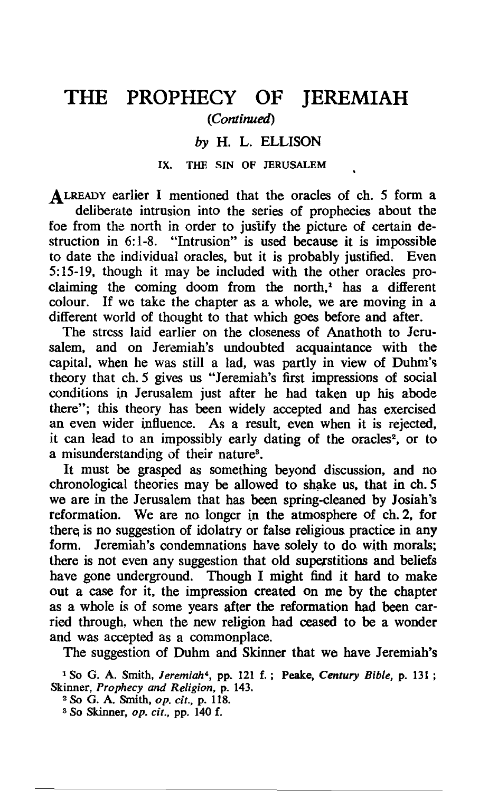# THE PROPHECY OF **JEREMIAH** *(Continued)*

### *by* H. L. ELLISON

#### IX. THE SIN OF JERUSALEM

ALREADY earlier I mentioned that the oracles of ch. 5 form a deliberate intrusion into the series of prophecies about the foe from the north in order to juslify the picture of certain destruction in 6:1-8. "Intrusion" is used because it is impossible to date the individual oracles, but it is probably justified. Even 5: 15-19, though it may be included with the other oracles proclaiming the coming doom from the north,<sup> $1$ </sup> has a different colour. If we take the chapter as a whole, we are moving in a different world of thought to that which goes before and after.

The stress laid earlier on the closeness of Anathoth to Jerusalem, and on Jeremiah's undoubted acquaintance with the capital, when he was still a lad, was partly in view of Duhm's theory that ch. 5 gives us "Jeremiah's first impressions of social conditions in Jerusalem just after he had taken up his abode there"; this theory has been widely accepted and has exercised an even wider influence. As a result, even when it is rejected, it can lead to an impossibly early dating of the oracles<sup>2</sup>, or to a misunderstanding of their nature<sup>3</sup>.

It must be grasped as something beyond discussion, and no chronological theories may be allowed to shake us, that in ch. 5 we are in the Jerusalem that has been spring-cleaned by Josiah's reformation. We are no longer in the atmosphere of ch. 2, for there is no suggestion of idolatry or false religious practice in any form. Jeremiah's condemnations have solely to do with morals; there is not even any suggestion that old superstitions and beliefs have gone underground. Though I might find it hard to make out a case for it, the impression created on me by the chapter as a whole is of some years after the reformation had been carried through, when the new religion had ceased to be a wonder and was accepted as a commonplace.

The suggestion of Duhm and Skinner that we have Jeremiah's

1 So G. A. Smith, *Jeremiah"* pp. 121 f.; Peake, *Century Bible,* p. 131 ; Skinner, *Prophecy* and *Religion,* p. 143.

<sup>2</sup>So G. A. Smith, *op. cit.,* p. 118.

3 So Skinner, *op.* cif., pp. 140 f.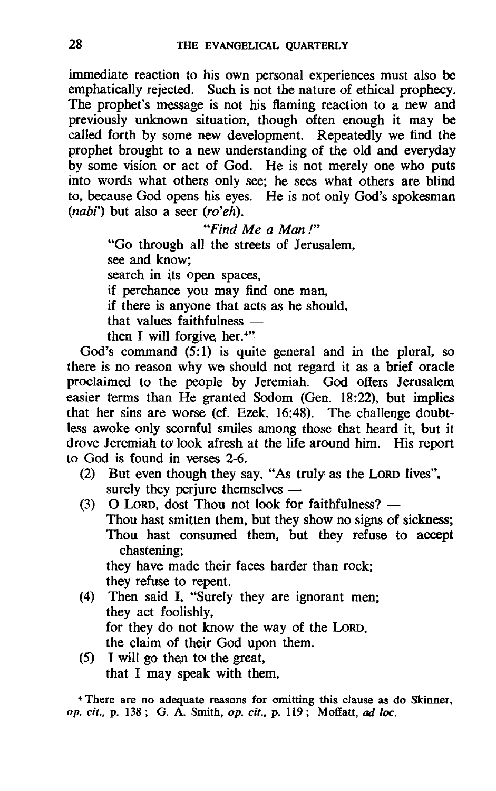immediate reaction to his own personal experiences must also be emphatically rejected. Such is not the nature of ethical prophecy. The prophet's message is not his flaming reaction to a new and previously unknown situation, though often enough it may be called forth by some new development. Repeatedly we find the prophet brought to a new understanding of the old and everyday by some vision or act of God. He is not merely one who puts into words what others only see; he sees what others are blind to, because God opens his eyes. He is not only God's spokesman *(nabt)* but also a seer *(ro'eh).* 

*"Find Me a Man* /"

"Go through all the streets of Jerusalem, see and know; search in its open spaces. if perchance you may find one man, if there is anyone that acts as he should. that values faithfulness  $$ then I will forgive her. $4"$ 

God's command  $(5:1)$  is quite general and in the plural, so there is no reason why we should not regard it as a brief oracle proclaimed to the people by Jeremiah. God offers Jerusalem easier terms than He granted Sodom (Gen. 18:22), but implies that her sins are worse (cf. Ezek. 16:48). The challenge doubtless awoke only scornful smiles among those that heard it, but it drove Jeremiah to look afresh at the life around him. His report to God is found in verses 2-6.

- (2) But even though they say, "As truly as the LORD lives", surely they periure themselves  $-$
- (3)  $\Omega$  LORD, dost Thou not look for faithfulness?  $-$ Thou hast smitten them, but they show no signs of sickness; Thou hast consumed them, but they refuse to accept chastening; they have made their faces harder than rock; they refuse to repent.
- (4) Then said I, "Surely they are ignorant men; they act foolishly, for they do not know the way of the LORD, the claim of their God upon them.
- $(5)$  I will go then to the great, that I may speak with them,

<sup>4</sup>There are no adequate reasons for omitting this clause as do Skinner, op. *cit.,* p. 138; G. A. Smith, op. *cit.,* p. 119; Moifatt, ad loc.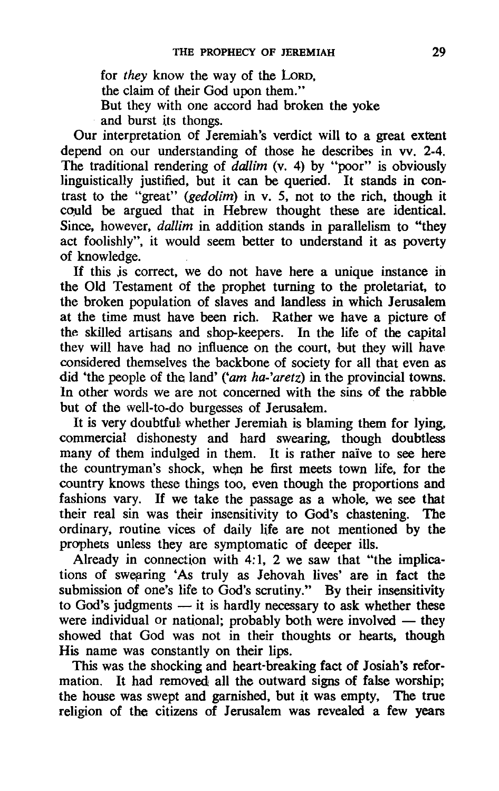for *they* know the way of the LORD, the claim of their God upon them." But they with one accord had broken the yoke and burst its thongs.

Our interpretation of Jeremiah's verdict will to a great extent depend on our understanding of those he describes in vv. 2-4. The traditional rendering of *dallim* (v. 4) by "poor" is obviously linguistically justified, but it can be queried. It stands in contrast to the "great" (gedolim) in v. 5, not to the rich, though it could be argued that in Hebrew thought these are identical. Since, however, *dallim* in addition stands in parallelism to "they act foolishly", it would seem better to understand it as poverty of knowledge.

If this is correct, we do not have here a unique instance in the Old Testament of the prophet turning to the proletariat, to the broken population of slaves and landless in which Jerusalem at the time must have been rich. Rather we have a picture of the skilled artisans and shop-keepers. In the life of the capita] thev will have had no influence on the court, but they will have. considered themselves the backbone of society for all that even as did 'the people of the land' *('am ha-'aretz)* in the provincial towns. In other words we are not concerned with the sins of the rabble but of the well-to-do burgesses of Jerusalem.

It is very doubtful whether Jeremiah is blaming them for lying, commercial dishonesty and hard swearing, though doubtless many of them indulged in them. It is rather naive to see here the countryman's shock, when he first meets town life, for the country knows these things too, even though the proportions and fashions vary. If we take the passage as a whole, we see that their real sin was their insensitivity to God's chastening. The ordinary, routine vices of daily life are not mentioned by the prophets unless they are symptomatic of deeper ills.

Already in connection with 4:1, 2 we saw that "the implications of swearing 'As truly as Jehovah lives' are in fact the submission of one's life to God's scrutiny." By their insensitivity to God's judgments  $-$  it is hardly necessary to ask whether these were individual or national; probably both were involved  $-$  they showed that God was not in their thoughts or hearts, though His name was constantly on their lips.

This was the shocking and heart-breaking fact of Josiah's reformation. It had removed all the outward signs of false worship; the house was swept and garnished, but it was empty, The true religion of the citizens of Jerusalem was revealed a few years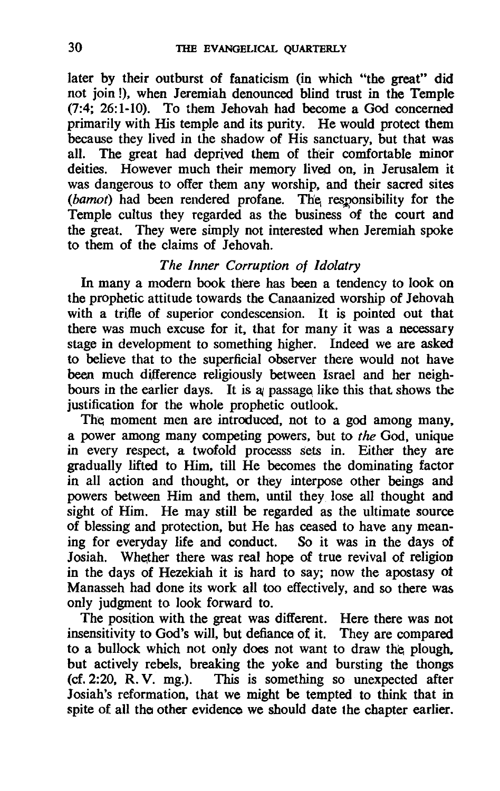later by their outburst of fanaticism (in which "the great" did not join !), when Jeremiah denounced blind trust in the Temple (7:4; 26:1-10). To them Jehovah had become a God concerned primarily with His temple and its purity. He would protect them because they lived in the shadow of His sanctuary, but that was all. The great had deprived them of their comfortable minor deities. However much their memory lived on, in Jerusalem it was dangerous to offer them any worship, and their sacred sites *(bamot)* had been rendered profane. The responsibility for the Temple cultus they regarded as the business of the court and the great. They were simply not interested when Jeremiah spoke to them of the claims of Jehovah.

## *The Inner Corruption of Idolatry*

In many a modern book there has been a tendency to look on the prophetic attitude towards the Canaanized worship of Jehovah with a trifle of superior condescension. It is pointed out that there was much excuse for it, that for many it was a necessary stage in development to something higher. Indeed we are asked to believe that to the superficial observer there would not have been much difference religiously between Israel and her neighbours in the earlier days. It is  $\alpha$  passage like this that shows the justification for the whole prophetic outlook.

The moment men are introduced, not to a god among many. a power among many competing powers, but to *the* God, unique in every respect, a twofold processs sets in. Either they are gradually lifted to Him, till He becomes the dominating factor in all action and thought, or they interpose other beings and powers between Him and them, until they lose all thought and sight of Him. He may still be regarded as the ultimate source of blessing and protection, but He has ceased to have any meaning for everyday life and conduct. So it was in the days of Josiah. Whether there was real hope of true revival of religion in the days of Hezekiah it is hard to say; now the apostasy ot Manasseh had done its work all too effectively, and so there was only judgment to look forward to.

The position with the great was different. Here there was not insensitivity to God's will, but defiance of it. They are compared to a bullock which not only does not want to draw the plough. but actively rebels, breaking the yoke and bursting the thongs (cf. 2:20. R.V. mg.). This is something so unexpected after This is something so unexpected after Josiah's reformation, that we might be tempted to think that in spite of all the other evidence we should date the chapter earlier.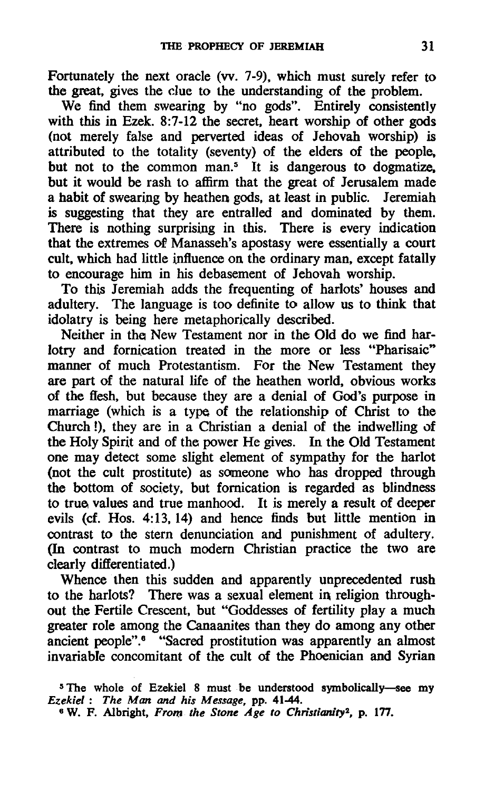Fortunately the next oracle (vv. 7-9), which must surely refer to the great, gives the due to the understanding of the problem.

We find them swearing by "no gods". Entirely consistently with this in Ezek. 8:7-12 the secret, heart worship of other gods (not merely false and perverted ideas of Jehovah worship) is attributed to the totality (seventy) of the elders of the people. but not to the common man.<sup> $5$ </sup> It is dangerous to dogmatize. but it would be rash to affirm that the great of Jerusalem made a habit of swearing by heathen gods, at least in public. Jeremiah is suggesting that they are entralled and dominated by them. There is nothing surprising in this. There is every indication that the extremes of Manasseh's apostasy were essentially a court cult. which had little influence on the ordinary man. except fatally to encourage him in his debasement of Jehovah worship.

To this Jeremiah adds the frequenting of harlots' houses and adultery. The language is too definite to allow us to think that idolatry is being here metaphorically described.

Neither in the New Testament nor in the Old do we find harlotry and fornication treated in the more or less "Pharisaic" manner of much Protestantism. For the New Testament they are part of the natural life of the heathen world. obvious works of the flesh. but because they are a denial of God's purpose in marriage (which is a type of the relationship of Christ to the Church!), they are in a Christian a denial of the indwelling of the Holy Spirit and of the power He gives. In the Old Testament one may detect some slight element of sympathy for the harlot (not the cult prostitute) as someone who has dropped through the bottom of society, but fornication is regarded as blindness to true values and true manhood. It is merely a result of deeper evils (cf. Hos. 4:13,14) and hence finds but little mention in contrast to the stern denunciation and punishment of adultery, (In contrast to much modern Christian practice the two are clearly differentiated.)

Whence then this sudden and apparently unprecedented rush to the harlots? There was a sexual element in religion throughout the Fertile Crescent. but "Goddesses of fertility play a much greater role among the Canaanites than they do among any other ancient people".<sup>6</sup> "Sacred prostitution was apparently an almost invariable concomitant of the cult of the Phoenician and Syrian

<sup>&</sup>lt;sup>5</sup> The whole of Ezekiel 8 must be understood symbolically-see my *Ezekiel: The Man and his Message,* pp. 41-44.

<sup>&</sup>lt;sup>6</sup> W. F. Albright, *From the Stone Age to Christianity<sup>2</sup>*, p. 177.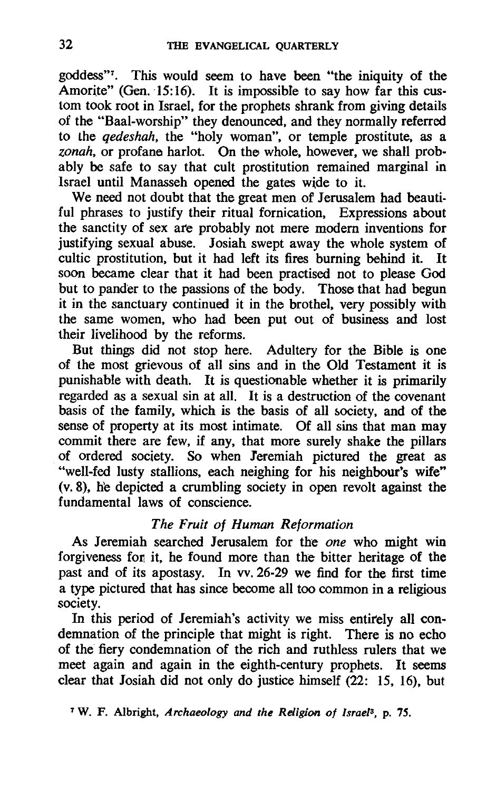goddess"7. This would seem to have been "the iniquity of the Amorite" (Gen. 15:16). It is impossible to say how far this custom took root in Israel, for the prophets shrank from giving details of the "Baal-worship" they denounced, and they normally referred to the *qedeshah,* the "holy woman", or temple prostitute, as a *zonah,* or profane harlot. On the whole, however, we shall probably be safe to say that cult prostitution remained marginal in Israel until Manasseh opened the gates wide to it.

We need not doubt that the great men of Jerusalem had beautiful phrases to justify their ritual fornication, Expressions about the sanctity of sex ate probably not mere modern inventions for justifying sexual abuse. Josiah swept away the whole system of cultic prostitution, but it had left its fires burning behind it. It cultic prostitution, but it had left its fires burning behind it. soon became clear that it had been practised not to please God but to pander to the passions of the body. Those that had begun it in the sanctuary continued it in the brothel, very possibly with the same women, who had been put out of business and lost their livelihood by the reforms.

But things did not stop here. Adultery for the Bible is one of the most grievous of all sins and in the Old Testament it is punishable with death. It is questionable whether it is primarily regarded as a sexual sin at all. It is a destruction of the covenant basis of the family, which is the basis of all society, and of the sense of property at its most intimate. Of all sins that man may commit there are few, if any, that more surely shake the pillars of ordered society. So when Jeremiah pictured the great as "well-fed lusty stallions, each neighing for his neighbour's wife" (v. 8), he depicted a crumbling society in open revolt against the fundamental laws of conscience

### *The Fruit of Human Reformation*

As Jeremiah searched Jerusalem for the *one* who might win forgiveness for it, he found more than the bitter heritage of the past and of its apostasy. In vv. 26-29 we find for the first time a type pictured that has since become all too common in a religious society.

In this period of Jeremiah's activity we miss entirely all condemnation of the principle that might is right. There is no echo of the fiery condemnation of the rich and ruthless rulers that we meet again and again in the eighth-century prophets. It seems clear that Josiah did not only do justice himself (22: 15, 16), but

7 W. F. Albright, *Archaeology and the Religion of Israel3•* p. 75.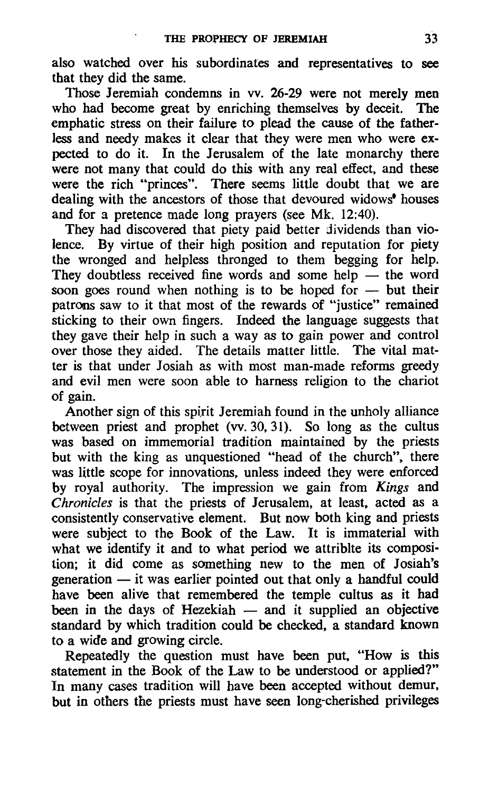also watched over his subordinates and representatives to see that they did the same.

Those Jeremiah condemns in vv. 26-29 were not merely men who had become great by enriching themselves by deceit. The emphatic stress on their failure to plead the cause of the fatherless and needy makes it clear that they were men who were expected to do it. In the Jerusalem of the late monarchy there were not many that could do this with any real effect, and these were the rich "princes". There seems little doubt that we are dealing with the ancestors of those that devoured widows<sup>\*</sup> houses and for a pretence made long prayers (see Mk. 12:40).

They had discovered that piety paid better dividends than violence. By virtue of their high position and reputation for piety the wronged and helpless thronged to them begging for help. They doubtless received fine words and some help  $-$  the word soon goes round when nothing is to be hoped for  $-$  but their patrons saw to it that most of the rewards of "justice" remained sticking to their own fingers. Indeed the language suggests that they gave their help in such a way as to gain power and control over those they aided. The details matter little. The vital matter is that under Josiah as with most man-made reforms greedy and evil men were soon able to harness religion to the chariot of gain.

Another sign of this spirit Jeremiah found in the unholy alliance between priest and prophet (vv. 30. 31). So long as the cultus was based on immemorial tradition maintained by the priests but with the king as unquestioned "head of the church", there was little scope for innovations. unless indeed they were enforced by royal authority. The impression we gain from *Kings* and *Chronicles* is that the priests of Jerusalem. at least. acted as a consistently conservative element. But now both king and priests were subject to the Book of the Law. It is immaterial with what we identify it and to what period we attriblte its composition; it did come as something new to the men of Josiah's generation  $-$  it was earlier pointed out that only a handful could have been alive that remembered the temple cultus as it had been in the days of Hezekiah  $-$  and it supplied an objective standard by which tradition could be checked. a standard known to a wide and growing circle.

Repeatedly the question must have been put. "How is this statement in the Book of the Law to be understood or applied?" In many cases tradition will have been accepted without demur. but in others the priests must have seen long-cherished privileges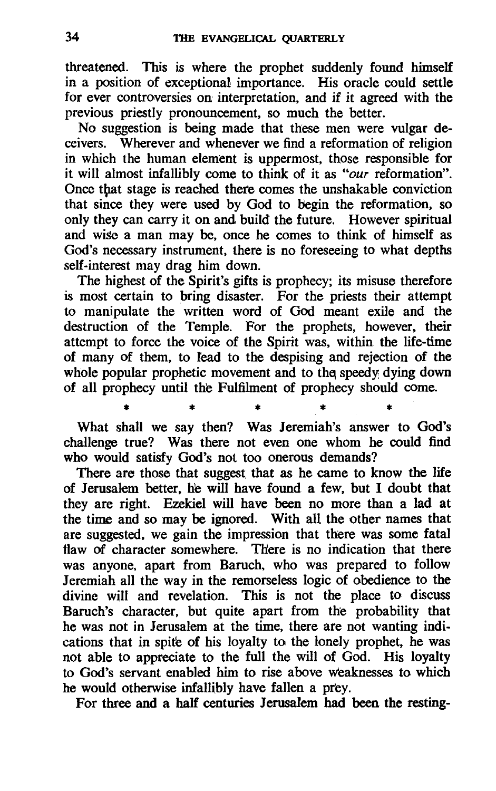threatened. This is where the prophet suddenly found himself in a position of exceptional importance. His oracle could settle for ever controversies on interpretation, and if it agreed with the previous priestly pronouncement, so much the better.

No suggestion is being made that these men were vulgar deceivers. Wherever and whenever we find a reformation of religion in which the human element is uppermost, those responsible for it will almost infallibly come to think of it as *"our* reformation". Once that stage is reached there comes the unshakable conviction that since they were used by God to begin the reformation, so only they can carry it on and build the future. However spiritual and wise a man may be, once he comes to think of himself as God's necessary instrument, there is no foreseeing to what depths self-interest may drag him down.

The highest of the Spirit's gifts is prophecy; its misuse therefore is most certain to bring disaster. For the priests their attempt to manipulate the written word of God meant exile and the destruction of the Temple. For the prophets, however, their attempt to force the voice of the Spirit was, within the life-time of many of them, to lead to the despising and rejection of the whole popular prophetic movement and to the speedy dying down of all prophecy until the Fulfilment of prophecy should come .

• • • \* • What shall we say then? Was Jeremiah's answer to God's challenge true? Was there not even one whom he could find who would satisfy God's not too onerous demands?

There are those that suggest that as he came to know the life of Jerusalem better, he will have found a few, but I doubt that they are right. Ezekiel will have been no more than a lad at the time and so may be ignored. With all the other names that are suggested, we gain the impression that there was some fatal flaw of character somewhere. There is no indication that there was anyone. apart from Baruch. who was prepared to follow Jeremiah all the way in the remorseless logic of obedience to the divine will and revelation. This is not the place to discuss Baruch's character, but quite apart from the probability that he was not in Jerusalem at the time, there are not wanting indications that in spite of his loyalty to the lonely prophet, he was not able to appreciate to the full the will of God. His loyalty to God's servant enabled him to rise above weaknesses to which he would otherwise infallibly have fallen a prev.

For three and a half centuries Jerusalem had been the resting-